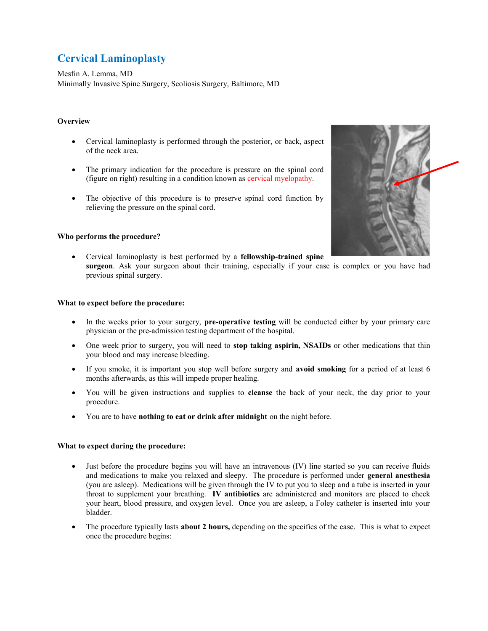# **Cervical Laminoplasty**

Mesfin A. Lemma, MD Minimally Invasive Spine Surgery, Scoliosis Surgery, Baltimore, MD

# **Overview**

- Cervical laminoplasty is performed through the posterior, or back, aspect of the neck area.
- The primary indication for the procedure is pressure on the spinal cord (figure on right) resulting in a condition known as cervical myelopathy.
- The objective of this procedure is to preserve spinal cord function by relieving the pressure on the spinal cord.

# **Who performs the procedure?**



 Cervical laminoplasty is best performed by a **fellowship-trained spine surgeon**. Ask your surgeon about their training, especially if your case is complex or you have had previous spinal surgery.

# **What to expect before the procedure:**

- In the weeks prior to your surgery, **pre-operative testing** will be conducted either by your primary care physician or the pre-admission testing department of the hospital.
- One week prior to surgery, you will need to **stop taking aspirin, NSAIDs** or other medications that thin your blood and may increase bleeding.
- If you smoke, it is important you stop well before surgery and **avoid smoking** for a period of at least 6 months afterwards, as this will impede proper healing.
- You will be given instructions and supplies to **cleanse** the back of your neck, the day prior to your procedure.
- You are to have **nothing to eat or drink after midnight** on the night before.

# **What to expect during the procedure:**

- Just before the procedure begins you will have an intravenous (IV) line started so you can receive fluids and medications to make you relaxed and sleepy. The procedure is performed under **general anesthesia** (you are asleep). Medications will be given through the IV to put you to sleep and a tube is inserted in your throat to supplement your breathing. **IV antibiotics** are administered and monitors are placed to check your heart, blood pressure, and oxygen level. Once you are asleep, a Foley catheter is inserted into your bladder.
- The procedure typically lasts **about 2 hours,** depending on the specifics of the case. This is what to expect once the procedure begins: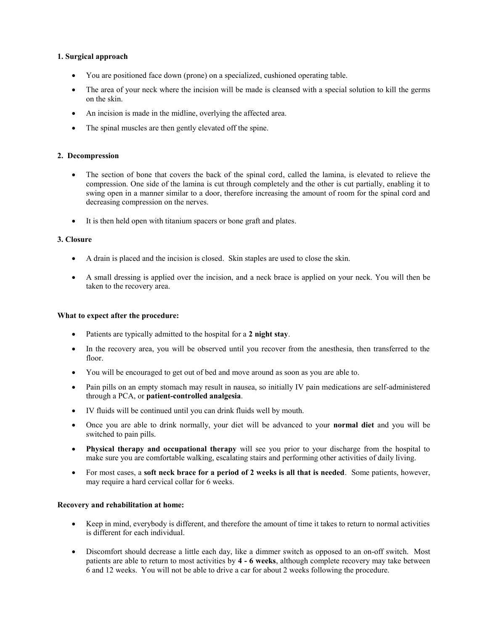# **1. Surgical approach**

- You are positioned face down (prone) on a specialized, cushioned operating table.
- The area of your neck where the incision will be made is cleansed with a special solution to kill the germs on the skin.
- An incision is made in the midline, overlying the affected area.
- The spinal muscles are then gently elevated off the spine.

# **2. Decompression**

- The section of bone that covers the back of the spinal cord, called the lamina, is elevated to relieve the compression. One side of the lamina is cut through completely and the other is cut partially, enabling it to swing open in a manner similar to a door, therefore increasing the amount of room for the spinal cord and decreasing compression on the nerves.
- It is then held open with titanium spacers or bone graft and plates.

# **3. Closure**

- A drain is placed and the incision is closed. Skin staples are used to close the skin.
- A small dressing is applied over the incision, and a neck brace is applied on your neck. You will then be taken to the recovery area.

# **What to expect after the procedure:**

- Patients are typically admitted to the hospital for a **2 night stay**.
- In the recovery area, you will be observed until you recover from the anesthesia, then transferred to the floor.
- You will be encouraged to get out of bed and move around as soon as you are able to.
- Pain pills on an empty stomach may result in nausea, so initially IV pain medications are self-administered through a PCA, or **patient-controlled analgesia**.
- IV fluids will be continued until you can drink fluids well by mouth.
- Once you are able to drink normally, your diet will be advanced to your **normal diet** and you will be switched to pain pills.
- **Physical therapy and occupational therapy** will see you prior to your discharge from the hospital to make sure you are comfortable walking, escalating stairs and performing other activities of daily living.
- For most cases, a **soft neck brace for a period of 2 weeks is all that is needed**. Some patients, however, may require a hard cervical collar for 6 weeks.

# **Recovery and rehabilitation at home:**

- Keep in mind, everybody is different, and therefore the amount of time it takes to return to normal activities is different for each individual.
- Discomfort should decrease a little each day, like a dimmer switch as opposed to an on-off switch. Most patients are able to return to most activities by **4 - 6 weeks**, although complete recovery may take between 6 and 12 weeks. You will not be able to drive a car for about 2 weeks following the procedure.